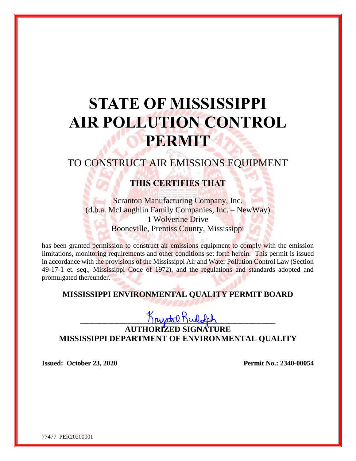# **STATE OF MISSISSIPPI AIR POLLUTION CONTROL PERMIT**

# TO CONSTRUCT AIR EMISSIONS EQUIPMENT

## **THIS CERTIFIES THAT**

Scranton Manufacturing Company, Inc. (d.b.a. McLaughlin Family Companies, Inc. – NewWay) 1 Wolverine Drive Booneville, Prentiss County, Mississippi

has been granted permission to construct air emissions equipment to comply with the emission limitations, monitoring requirements and other conditions set forth herein. This permit is issued in accordance with the provisions of the Mississippi Air and Water Pollution Control Law (Section 49-17-1 et. seq., Mississippi Code of 1972), and the regulations and standards adopted and promulgated thereunder.

### **MISSISSIPPI ENVIRONMENTAL QUALITY PERMIT BOARD**

**\_\_\_\_\_\_\_\_\_\_\_\_\_\_\_\_\_\_\_\_\_\_\_\_\_\_\_\_\_\_\_\_\_\_\_\_\_\_\_\_\_\_\_\_\_\_\_\_**

**AUTHORIZED SIGNATURE MISSISSIPPI DEPARTMENT OF ENVIRONMENTAL QUALITY**

**Issued: October 23, 2020 Permit No.: 2340-00054**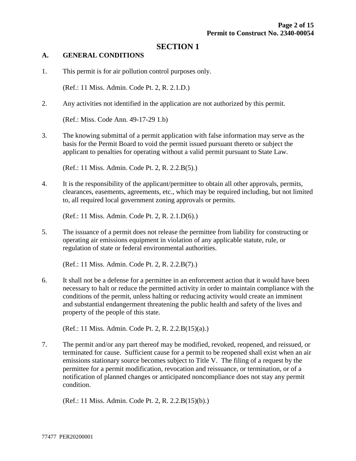#### **SECTION 1**

#### **A. GENERAL CONDITIONS**

1. This permit is for air pollution control purposes only.

(Ref.: 11 Miss. Admin. Code Pt. 2, R. 2.1.D.)

2. Any activities not identified in the application are not authorized by this permit.

(Ref.: Miss. Code Ann. 49-17-29 1.b)

3. The knowing submittal of a permit application with false information may serve as the basis for the Permit Board to void the permit issued pursuant thereto or subject the applicant to penalties for operating without a valid permit pursuant to State Law.

(Ref.: 11 Miss. Admin. Code Pt. 2, R. 2.2.B(5).)

4. It is the responsibility of the applicant/permittee to obtain all other approvals, permits, clearances, easements, agreements, etc., which may be required including, but not limited to, all required local government zoning approvals or permits.

(Ref.: 11 Miss. Admin. Code Pt. 2, R. 2.1.D(6).)

5. The issuance of a permit does not release the permittee from liability for constructing or operating air emissions equipment in violation of any applicable statute, rule, or regulation of state or federal environmental authorities.

(Ref.: 11 Miss. Admin. Code Pt. 2, R. 2.2.B(7).)

6. It shall not be a defense for a permittee in an enforcement action that it would have been necessary to halt or reduce the permitted activity in order to maintain compliance with the conditions of the permit, unless halting or reducing activity would create an imminent and substantial endangerment threatening the public health and safety of the lives and property of the people of this state.

(Ref.: 11 Miss. Admin. Code Pt. 2, R. 2.2.B(15)(a).)

7. The permit and/or any part thereof may be modified, revoked, reopened, and reissued, or terminated for cause. Sufficient cause for a permit to be reopened shall exist when an air emissions stationary source becomes subject to Title V. The filing of a request by the permittee for a permit modification, revocation and reissuance, or termination, or of a notification of planned changes or anticipated noncompliance does not stay any permit condition.

(Ref.: 11 Miss. Admin. Code Pt. 2, R. 2.2.B(15)(b).)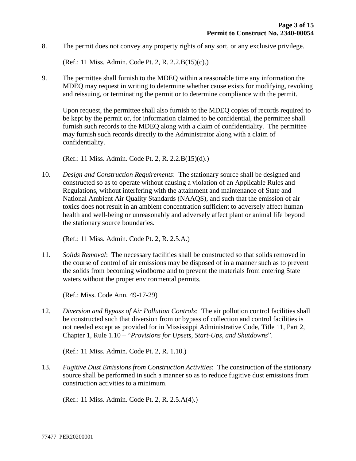8. The permit does not convey any property rights of any sort, or any exclusive privilege.

(Ref.: 11 Miss. Admin. Code Pt. 2, R. 2.2.B(15)(c).)

9. The permittee shall furnish to the MDEQ within a reasonable time any information the MDEQ may request in writing to determine whether cause exists for modifying, revoking and reissuing, or terminating the permit or to determine compliance with the permit.

Upon request, the permittee shall also furnish to the MDEQ copies of records required to be kept by the permit or, for information claimed to be confidential, the permittee shall furnish such records to the MDEQ along with a claim of confidentiality. The permittee may furnish such records directly to the Administrator along with a claim of confidentiality.

(Ref.: 11 Miss. Admin. Code Pt. 2, R. 2.2.B(15)(d).)

10. *Design and Construction Requirements*: The stationary source shall be designed and constructed so as to operate without causing a violation of an Applicable Rules and Regulations, without interfering with the attainment and maintenance of State and National Ambient Air Quality Standards (NAAQS), and such that the emission of air toxics does not result in an ambient concentration sufficient to adversely affect human health and well-being or unreasonably and adversely affect plant or animal life beyond the stationary source boundaries.

(Ref.: 11 Miss. Admin. Code Pt. 2, R. 2.5.A.)

11. *Solids Removal*: The necessary facilities shall be constructed so that solids removed in the course of control of air emissions may be disposed of in a manner such as to prevent the solids from becoming windborne and to prevent the materials from entering State waters without the proper environmental permits.

(Ref.: Miss. Code Ann. 49-17-29)

12. *Diversion and Bypass of Air Pollution Controls*: The air pollution control facilities shall be constructed such that diversion from or bypass of collection and control facilities is not needed except as provided for in Mississippi Administrative Code, Title 11, Part 2, Chapter 1, Rule 1.10 – "*Provisions for Upsets, Start-Ups, and Shutdowns*".

(Ref.: 11 Miss. Admin. Code Pt. 2, R. 1.10.)

13. *Fugitive Dust Emissions from Construction Activities*: The construction of the stationary source shall be performed in such a manner so as to reduce fugitive dust emissions from construction activities to a minimum.

(Ref.: 11 Miss. Admin. Code Pt. 2, R. 2.5.A(4).)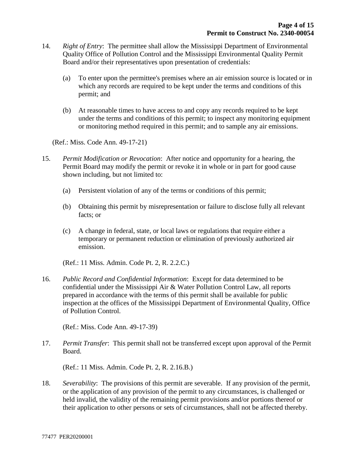- 14. *Right of Entry*: The permittee shall allow the Mississippi Department of Environmental Quality Office of Pollution Control and the Mississippi Environmental Quality Permit Board and/or their representatives upon presentation of credentials:
	- (a) To enter upon the permittee's premises where an air emission source is located or in which any records are required to be kept under the terms and conditions of this permit; and
	- (b) At reasonable times to have access to and copy any records required to be kept under the terms and conditions of this permit; to inspect any monitoring equipment or monitoring method required in this permit; and to sample any air emissions.

(Ref.: Miss. Code Ann. 49-17-21)

- 15. *Permit Modification or Revocation*: After notice and opportunity for a hearing, the Permit Board may modify the permit or revoke it in whole or in part for good cause shown including, but not limited to:
	- (a) Persistent violation of any of the terms or conditions of this permit;
	- (b) Obtaining this permit by misrepresentation or failure to disclose fully all relevant facts; or
	- (c) A change in federal, state, or local laws or regulations that require either a temporary or permanent reduction or elimination of previously authorized air emission.

(Ref.: 11 Miss. Admin. Code Pt. 2, R. 2.2.C.)

16. *Public Record and Confidential Information*: Except for data determined to be confidential under the Mississippi Air & Water Pollution Control Law, all reports prepared in accordance with the terms of this permit shall be available for public inspection at the offices of the Mississippi Department of Environmental Quality, Office of Pollution Control.

(Ref.: Miss. Code Ann. 49-17-39)

17. *Permit Transfer*: This permit shall not be transferred except upon approval of the Permit Board.

(Ref.: 11 Miss. Admin. Code Pt. 2, R. 2.16.B.)

18. *Severability*: The provisions of this permit are severable. If any provision of the permit, or the application of any provision of the permit to any circumstances, is challenged or held invalid, the validity of the remaining permit provisions and/or portions thereof or their application to other persons or sets of circumstances, shall not be affected thereby.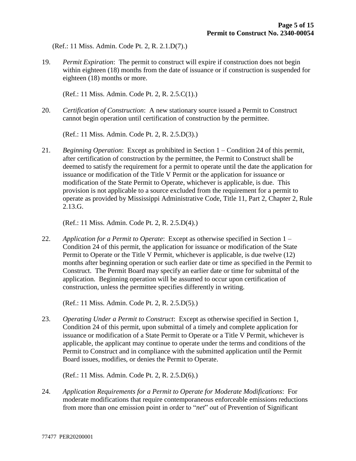(Ref.: 11 Miss. Admin. Code Pt. 2, R. 2.1.D(7).)

19. *Permit Expiration*: The permit to construct will expire if construction does not begin within eighteen (18) months from the date of issuance or if construction is suspended for eighteen (18) months or more.

(Ref.: 11 Miss. Admin. Code Pt. 2, R. 2.5.C(1).)

20. *Certification of Construction*: A new stationary source issued a Permit to Construct cannot begin operation until certification of construction by the permittee.

(Ref.: 11 Miss. Admin. Code Pt. 2, R. 2.5.D(3).)

21. *Beginning Operation*: Except as prohibited in Section 1 – Condition 24 of this permit, after certification of construction by the permittee, the Permit to Construct shall be deemed to satisfy the requirement for a permit to operate until the date the application for issuance or modification of the Title V Permit or the application for issuance or modification of the State Permit to Operate, whichever is applicable, is due. This provision is not applicable to a source excluded from the requirement for a permit to operate as provided by Mississippi Administrative Code, Title 11, Part 2, Chapter 2, Rule 2.13.G.

(Ref.: 11 Miss. Admin. Code Pt. 2, R. 2.5.D(4).)

22. *Application for a Permit to Operate*: Except as otherwise specified in Section 1 – Condition 24 of this permit, the application for issuance or modification of the State Permit to Operate or the Title V Permit, whichever is applicable, is due twelve (12) months after beginning operation or such earlier date or time as specified in the Permit to Construct. The Permit Board may specify an earlier date or time for submittal of the application. Beginning operation will be assumed to occur upon certification of construction, unless the permittee specifies differently in writing.

(Ref.: 11 Miss. Admin. Code Pt. 2, R. 2.5.D(5).)

23. *Operating Under a Permit to Construct*: Except as otherwise specified in Section 1, Condition 24 of this permit, upon submittal of a timely and complete application for issuance or modification of a State Permit to Operate or a Title V Permit, whichever is applicable, the applicant may continue to operate under the terms and conditions of the Permit to Construct and in compliance with the submitted application until the Permit Board issues, modifies, or denies the Permit to Operate.

(Ref.: 11 Miss. Admin. Code Pt. 2, R. 2.5.D(6).)

24. *Application Requirements for a Permit to Operate for Moderate Modifications*: For moderate modifications that require contemporaneous enforceable emissions reductions from more than one emission point in order to "*net*" out of Prevention of Significant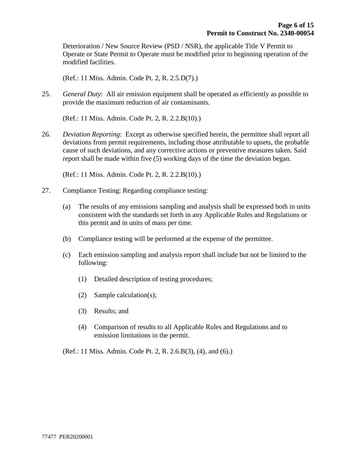Deterioration / New Source Review (PSD / NSR), the applicable Title V Permit to Operate or State Permit to Operate must be modified prior to beginning operation of the modified facilities.

(Ref.: 11 Miss. Admin. Code Pt. 2, R. 2.5.D(7).)

25. *General Duty*: All air emission equipment shall be operated as efficiently as possible to provide the maximum reduction of air contaminants.

(Ref.: 11 Miss. Admin. Code Pt. 2, R. 2.2.B(10).)

26. *Deviation Reporting*: Except as otherwise specified herein, the permittee shall report all deviations from permit requirements, including those attributable to upsets, the probable cause of such deviations, and any corrective actions or preventive measures taken. Said report shall be made within five (5) working days of the time the deviation began.

(Ref.: 11 Miss. Admin. Code Pt. 2, R. 2.2.B(10).)

- 27. Compliance Testing: Regarding compliance testing:
	- (a) The results of any emissions sampling and analysis shall be expressed both in units consistent with the standards set forth in any Applicable Rules and Regulations or this permit and in units of mass per time.
	- (b) Compliance testing will be performed at the expense of the permittee.
	- (c) Each emission sampling and analysis report shall include but not be limited to the following:
		- (1) Detailed description of testing procedures;
		- (2) Sample calculation(s);
		- (3) Results; and
		- (4) Comparison of results to all Applicable Rules and Regulations and to emission limitations in the permit.

(Ref.: 11 Miss. Admin. Code Pt. 2, R. 2.6.B(3), (4), and (6).)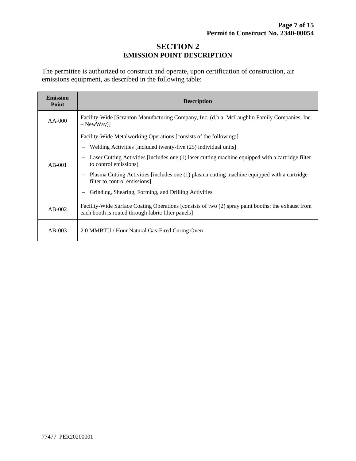#### **SECTION 2 EMISSION POINT DESCRIPTION**

The permittee is authorized to construct and operate, upon certification of construction, air emissions equipment, as described in the following table:

| <b>Emission</b><br>Point | <b>Description</b>                                                                                                                                       |  |  |  |
|--------------------------|----------------------------------------------------------------------------------------------------------------------------------------------------------|--|--|--|
| $AA-000$                 | Facility-Wide [Scranton Manufacturing Company, Inc. (d.b.a. McLaughlin Family Companies, Inc.<br>$-$ NewWay)]                                            |  |  |  |
| $AB-001$                 | Facility-Wide Metalworking Operations [consists of the following:]                                                                                       |  |  |  |
|                          | Welding Activities [included twenty-five (25) individual units]                                                                                          |  |  |  |
|                          | Laser Cutting Activities [includes one (1) laser cutting machine equipped with a cartridge filter<br>to control emissions                                |  |  |  |
|                          | Plasma Cutting Activities [includes one (1) plasma cutting machine equipped with a cartridge<br>filter to control emissions]                             |  |  |  |
|                          | Grinding, Shearing, Forming, and Drilling Activities                                                                                                     |  |  |  |
| $AB-002$                 | Facility-Wide Surface Coating Operations [consists of two (2) spray paint booths; the exhaust from<br>each booth is routed through fabric filter panels] |  |  |  |
| $AB-003$                 | 2.0 MMBTU / Hour Natural Gas-Fired Curing Oven                                                                                                           |  |  |  |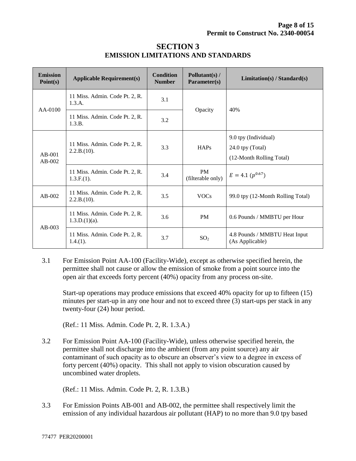| <b>Emission</b><br>Point(s) | <b>Applicable Requirement(s)</b>                   | <b>Condition</b><br><b>Number</b> | Pollutant(s) /<br>Parameter(s) | Limitation(s) / Standard(s)                                          |
|-----------------------------|----------------------------------------------------|-----------------------------------|--------------------------------|----------------------------------------------------------------------|
| $AA-0100$                   | 11 Miss. Admin. Code Pt. 2, R.<br>1.3.A.           | 3.1                               | Opacity                        | 40%                                                                  |
|                             | 11 Miss. Admin. Code Pt. 2, R.<br>1.3.B.           | 3.2                               |                                |                                                                      |
| $AB-001$<br>$AB-002$        | 11 Miss. Admin. Code Pt. 2, R.<br>2.2.B.(10).      | 3.3                               | HAPs                           | 9.0 tpy (Individual)<br>24.0 tpy (Total)<br>(12-Month Rolling Total) |
|                             | 11 Miss. Admin. Code Pt. 2, R.<br>$1.3.F.(1)$ .    | 3.4                               | <b>PM</b><br>(filterable only) | $E = 4.1 (p^{0.67})$                                                 |
| $AB-002$                    | 11 Miss. Admin. Code Pt. 2, R.<br>2.2.B.(10).      | 3.5                               | <b>VOCs</b>                    | 99.0 tpy (12-Month Rolling Total)                                    |
| $AB-003$                    | 11 Miss. Admin. Code Pt. 2, R.<br>$1.3.D.(1)(a)$ . | 3.6                               | <b>PM</b>                      | 0.6 Pounds / MMBTU per Hour                                          |
|                             | 11 Miss. Admin. Code Pt. 2, R.<br>$1.4(1)$ .       | 3.7                               | SO <sub>2</sub>                | 4.8 Pounds / MMBTU Heat Input<br>(As Applicable)                     |

#### **SECTION 3 EMISSION LIMITATIONS AND STANDARDS**

3.1 For Emission Point AA-100 (Facility-Wide), except as otherwise specified herein, the permittee shall not cause or allow the emission of smoke from a point source into the open air that exceeds forty percent (40%) opacity from any process on-site.

Start-up operations may produce emissions that exceed 40% opacity for up to fifteen (15) minutes per start-up in any one hour and not to exceed three (3) start-ups per stack in any twenty-four (24) hour period.

(Ref.: 11 Miss. Admin. Code Pt. 2, R. 1.3.A.)

3.2 For Emission Point AA-100 (Facility-Wide), unless otherwise specified herein, the permittee shall not discharge into the ambient (from any point source) any air contaminant of such opacity as to obscure an observer's view to a degree in excess of forty percent (40%) opacity. This shall not apply to vision obscuration caused by uncombined water droplets.

(Ref.: 11 Miss. Admin. Code Pt. 2, R. 1.3.B.)

3.3 For Emission Points AB-001 and AB-002, the permittee shall respectively limit the emission of any individual hazardous air pollutant (HAP) to no more than 9.0 tpy based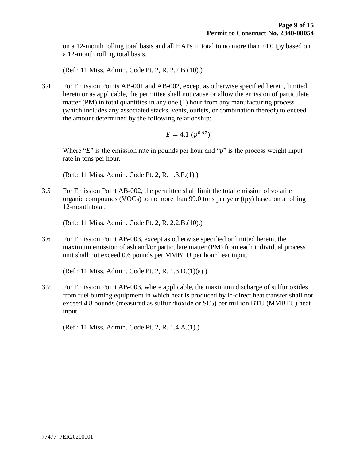on a 12-month rolling total basis and all HAPs in total to no more than 24.0 tpy based on a 12-month rolling total basis.

(Ref.: 11 Miss. Admin. Code Pt. 2, R. 2.2.B.(10).)

3.4 For Emission Points AB-001 and AB-002, except as otherwise specified herein, limited herein or as applicable, the permittee shall not cause or allow the emission of particulate matter (PM) in total quantities in any one (1) hour from any manufacturing process (which includes any associated stacks, vents, outlets, or combination thereof) to exceed the amount determined by the following relationship:

$$
E=4.1\ (p^{0.67})
$$

Where "*E*" is the emission rate in pounds per hour and "*p*" is the process weight input rate in tons per hour.

(Ref.: 11 Miss. Admin. Code Pt. 2, R. 1.3.F.(1).)

3.5 For Emission Point AB-002, the permittee shall limit the total emission of volatile organic compounds (VOCs) to no more than 99.0 tons per year (tpy) based on a rolling 12-month total.

(Ref.: 11 Miss. Admin. Code Pt. 2, R. 2.2.B.(10).)

3.6 For Emission Point AB-003, except as otherwise specified or limited herein, the maximum emission of ash and/or particulate matter (PM) from each individual process unit shall not exceed 0.6 pounds per MMBTU per hour heat input.

(Ref.: 11 Miss. Admin. Code Pt. 2, R. 1.3.D.(1)(a).)

3.7 For Emission Point AB-003, where applicable, the maximum discharge of sulfur oxides from fuel burning equipment in which heat is produced by in-direct heat transfer shall not exceed 4.8 pounds (measured as sulfur dioxide or  $SO<sub>2</sub>$ ) per million BTU (MMBTU) heat input.

(Ref.: 11 Miss. Admin. Code Pt. 2, R. 1.4.A.(1).)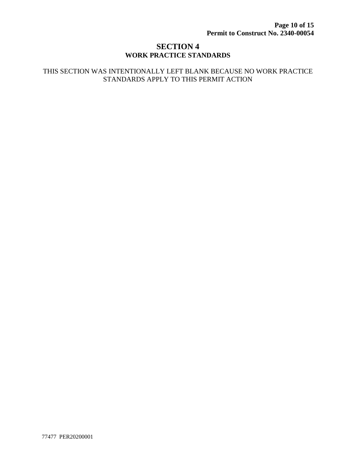#### **SECTION 4 WORK PRACTICE STANDARDS**

#### THIS SECTION WAS INTENTIONALLY LEFT BLANK BECAUSE NO WORK PRACTICE STANDARDS APPLY TO THIS PERMIT ACTION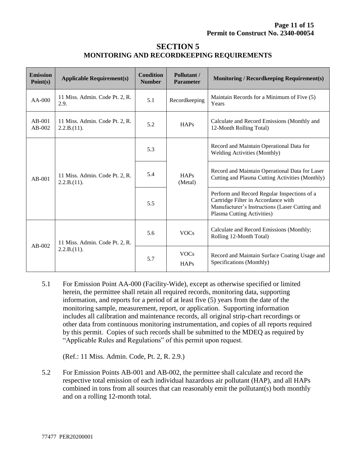#### **SECTION 5 MONITORING AND RECORDKEEPING REQUIREMENTS**

| <b>Emission</b><br>Point(s) | <b>Applicable Requirement(s)</b>              | <b>Condition</b><br><b>Number</b> | Pollutant /<br><b>Parameter</b> | <b>Monitoring / Recordkeeping Requirement(s)</b>                                                                                                                   |
|-----------------------------|-----------------------------------------------|-----------------------------------|---------------------------------|--------------------------------------------------------------------------------------------------------------------------------------------------------------------|
| $AA-000$                    | 11 Miss. Admin. Code Pt. 2, R.<br>2.9.        | 5.1                               | Recordkeeping                   | Maintain Records for a Minimum of Five (5)<br>Years                                                                                                                |
| $AB-001$<br>AB-002          | 11 Miss. Admin. Code Pt. 2, R.<br>2.2.B.(11). | 5.2                               | HAPs                            | Calculate and Record Emissions (Monthly and<br>12-Month Rolling Total)                                                                                             |
| $AB-001$                    | 11 Miss. Admin. Code Pt. 2, R.<br>2.2.B.(11). | 5.3                               | <b>HAPs</b><br>(Metal)          | Record and Maintain Operational Data for<br><b>Welding Activities (Monthly)</b>                                                                                    |
|                             |                                               | 5.4                               |                                 | Record and Maintain Operational Data for Laser<br>Cutting and Plasma Cutting Activities (Monthly)                                                                  |
|                             |                                               | 5.5                               |                                 | Perform and Record Regular Inspections of a<br>Cartridge Filter in Accordance with<br>Manufacturer's Instructions (Laser Cutting and<br>Plasma Cutting Activities) |
| $AB-002$                    | 11 Miss. Admin. Code Pt. 2, R.<br>2.2.B.(11). | 5.6                               | <b>VOCs</b>                     | Calculate and Record Emissions (Monthly;<br>Rolling 12-Month Total)                                                                                                |
|                             |                                               | 5.7                               | <b>VOCs</b><br>HAPs             | Record and Maintain Surface Coating Usage and<br>Specifications (Monthly)                                                                                          |

5.1 For Emission Point AA-000 (Facility-Wide), except as otherwise specified or limited herein, the permittee shall retain all required records, monitoring data, supporting information, and reports for a period of at least five (5) years from the date of the monitoring sample, measurement, report, or application. Supporting information includes all calibration and maintenance records, all original strip-chart recordings or other data from continuous monitoring instrumentation, and copies of all reports required by this permit. Copies of such records shall be submitted to the MDEQ as required by "Applicable Rules and Regulations" of this permit upon request.

(Ref.: 11 Miss. Admin. Code, Pt. 2, R. 2.9.)

5.2 For Emission Points AB-001 and AB-002, the permittee shall calculate and record the respective total emission of each individual hazardous air pollutant (HAP), and all HAPs combined in tons from all sources that can reasonably emit the pollutant(s) both monthly and on a rolling 12-month total.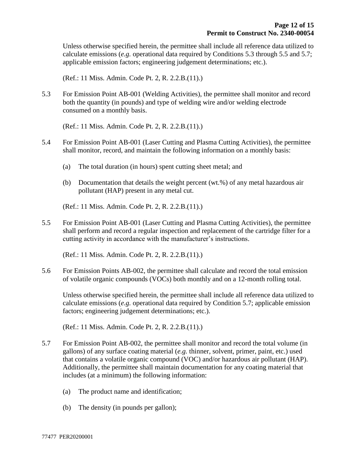Unless otherwise specified herein, the permittee shall include all reference data utilized to calculate emissions (*e.g.* operational data required by Conditions 5.3 through 5.5 and 5.7; applicable emission factors; engineering judgement determinations; etc.).

(Ref.: 11 Miss. Admin. Code Pt. 2, R. 2.2.B.(11).)

5.3 For Emission Point AB-001 (Welding Activities), the permittee shall monitor and record both the quantity (in pounds) and type of welding wire and/or welding electrode consumed on a monthly basis.

(Ref.: 11 Miss. Admin. Code Pt. 2, R. 2.2.B.(11).)

- 5.4 For Emission Point AB-001 (Laser Cutting and Plasma Cutting Activities), the permittee shall monitor, record, and maintain the following information on a monthly basis:
	- (a) The total duration (in hours) spent cutting sheet metal; and
	- (b) Documentation that details the weight percent (wt.%) of any metal hazardous air pollutant (HAP) present in any metal cut.

(Ref.: 11 Miss. Admin. Code Pt. 2, R. 2.2.B.(11).)

5.5 For Emission Point AB-001 (Laser Cutting and Plasma Cutting Activities), the permittee shall perform and record a regular inspection and replacement of the cartridge filter for a cutting activity in accordance with the manufacturer's instructions.

(Ref.: 11 Miss. Admin. Code Pt. 2, R. 2.2.B.(11).)

5.6 For Emission Points AB-002, the permittee shall calculate and record the total emission of volatile organic compounds (VOCs) both monthly and on a 12-month rolling total.

Unless otherwise specified herein, the permittee shall include all reference data utilized to calculate emissions (*e.g.* operational data required by Condition 5.7; applicable emission factors; engineering judgement determinations; etc.).

(Ref.: 11 Miss. Admin. Code Pt. 2, R. 2.2.B.(11).)

- 5.7 For Emission Point AB-002, the permittee shall monitor and record the total volume (in gallons) of any surface coating material (*e.g.* thinner, solvent, primer, paint, etc.) used that contains a volatile organic compound (VOC) and/or hazardous air pollutant (HAP). Additionally, the permittee shall maintain documentation for any coating material that includes (at a minimum) the following information:
	- (a) The product name and identification;
	- (b) The density (in pounds per gallon);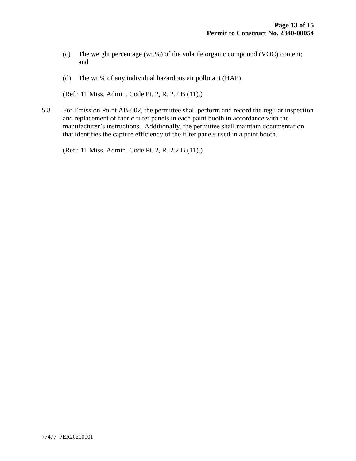- (c) The weight percentage (wt.%) of the volatile organic compound (VOC) content; and
- (d) The wt.% of any individual hazardous air pollutant (HAP).

(Ref.: 11 Miss. Admin. Code Pt. 2, R. 2.2.B.(11).)

5.8 For Emission Point AB-002, the permittee shall perform and record the regular inspection and replacement of fabric filter panels in each paint booth in accordance with the manufacturer's instructions. Additionally, the permittee shall maintain documentation that identifies the capture efficiency of the filter panels used in a paint booth.

(Ref.: 11 Miss. Admin. Code Pt. 2, R. 2.2.B.(11).)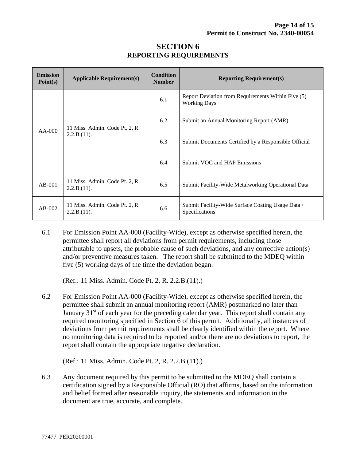| <b>Emission</b><br>Point(s) | <b>Applicable Requirement(s)</b>              | <b>Condition</b><br><b>Number</b> | <b>Reporting Requirement(s)</b>                                           |  |
|-----------------------------|-----------------------------------------------|-----------------------------------|---------------------------------------------------------------------------|--|
| $AA-000$                    | 11 Miss. Admin. Code Pt. 2, R.<br>2.2.B.(11). | 6.1                               | Report Deviation from Requirements Within Five (5)<br><b>Working Days</b> |  |
|                             |                                               | 6.2                               | Submit an Annual Monitoring Report (AMR)                                  |  |
|                             |                                               | 6.3                               | Submit Documents Certified by a Responsible Official                      |  |
|                             |                                               | 6.4                               | <b>Submit VOC and HAP Emissions</b>                                       |  |
| $AB-001$                    | 11 Miss. Admin. Code Pt. 2, R.<br>2.2.B.(11). | 6.5                               | Submit Facility-Wide Metalworking Operational Data                        |  |
| $AB-002$                    | 11 Miss. Admin. Code Pt. 2, R.<br>2.2.B.(11). | 6.6                               | Submit Facility-Wide Surface Coating Usage Data /<br>Specifications       |  |

#### **SECTION 6 REPORTING REQUIREMENTS**

6.1 For Emission Point AA-000 (Facility-Wide), except as otherwise specified herein, the permittee shall report all deviations from permit requirements, including those attributable to upsets, the probable cause of such deviations, and any corrective action(s) and/or preventive measures taken. The report shall be submitted to the MDEQ within five (5) working days of the time the deviation began.

(Ref.: 11 Miss. Admin. Code Pt. 2, R. 2.2.B.(11).)

6.2 For Emission Point AA-000 (Facility-Wide), except as otherwise specified herein, the permittee shall submit an annual monitoring report (AMR) postmarked no later than January  $31<sup>st</sup>$  of each year for the preceding calendar year. This report shall contain any required monitoring specified in Section 6 of this permit. Additionally, all instances of deviations from permit requirements shall be clearly identified within the report. Where no monitoring data is required to be reported and/or there are no deviations to report, the report shall contain the appropriate negative declaration.

(Ref.: 11 Miss. Admin. Code Pt. 2, R. 2.2.B.(11).)

6.3 Any document required by this permit to be submitted to the MDEQ shall contain a certification signed by a Responsible Official (RO) that affirms, based on the information and belief formed after reasonable inquiry, the statements and information in the document are true, accurate, and complete.